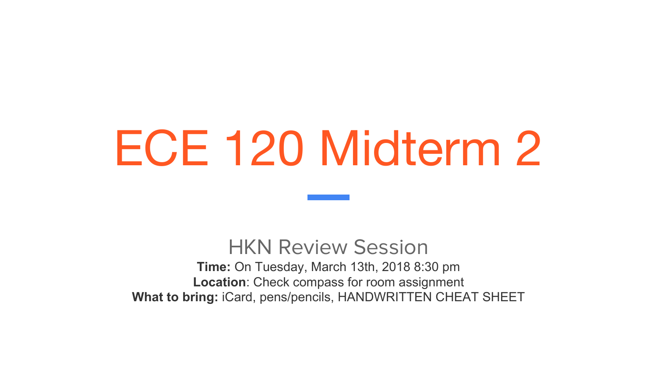# ECE 120 Midterm 2

#### HKN Review Session

**Time:** On Tuesday, March 13th, 2018 8:30 pm **Location**: Check compass for room assignment **What to bring:** iCard, pens/pencils, HANDWRITTEN CHEAT SHEET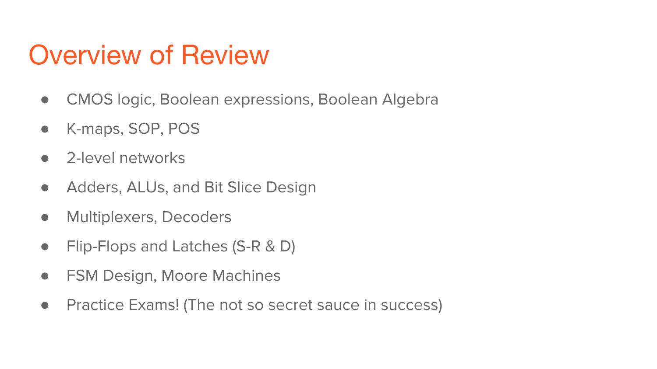### Overview of Review

- CMOS logic, Boolean expressions, Boolean Algebra
- K-maps, SOP, POS
- 2-level networks
- Adders, ALUs, and Bit Slice Design
- **•** Multiplexers, Decoders
- Flip-Flops and Latches (S-R & D)
- FSM Design, Moore Machines
- Practice Exams! (The not so secret sauce in success)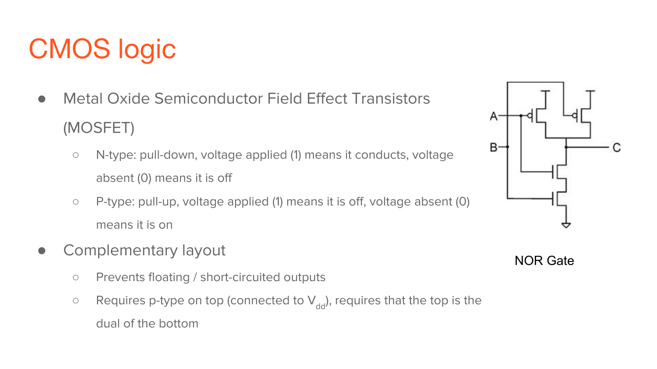# CMOS logic

- Metal Oxide Semiconductor Field Effect Transistors (MOSFET)
	- N-type: pull-down, voltage applied (1) means it conducts, voltage absent (0) means it is off
	- P-type: pull-up, voltage applied (1) means it is off, voltage absent (0) means it is on
- Complementary layout
	- Prevents floating / short-circuited outputs
	- $\circ$  Requires p-type on top (connected to  $V_{dd}$ ), requires that the top is the dual of the bottom



NOR Gate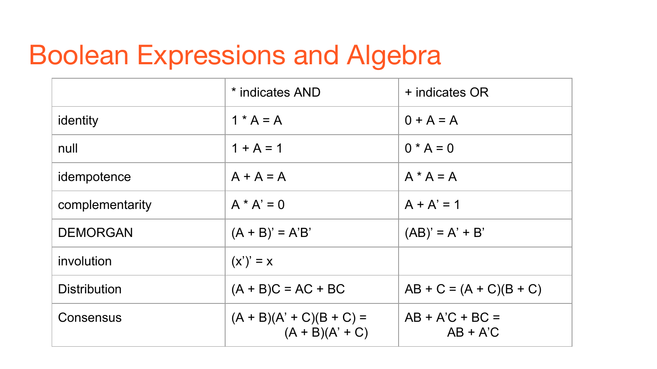### Boolean Expressions and Algebra

|                     | * indicates AND                                 | + indicates OR                  |
|---------------------|-------------------------------------------------|---------------------------------|
| identity            | $1 * A = A$                                     | $0 + A = A$                     |
| null                | $1 + A = 1$                                     | $0 * A = 0$                     |
| idempotence         | $A + A = A$                                     | $A^* A = A$                     |
| complementarity     | $A * A' = 0$                                    | $A + A' = 1$                    |
| <b>DEMORGAN</b>     | $(A + B)' = A'B'$                               | $(AB)' = A' + B'$               |
| involution          | $(x')' = x$                                     |                                 |
| <b>Distribution</b> | $(A + B)C = AC + BC$                            | $AB + C = (A + C)(B + C)$       |
| Consensus           | $(A + B)(A' + C)(B + C) =$<br>$(A + B)(A' + C)$ | $AB + A'C + BC =$<br>$AB + A'C$ |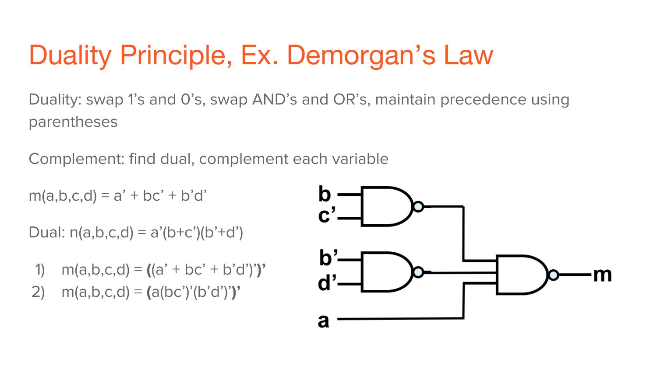# Duality Principle, Ex. Demorgan's Law

Duality: swap 1's and 0's, swap AND's and OR's, maintain precedence using parentheses

Complement: find dual, complement each variable

 $m(a,b,c,d) = a' + bc' + b'd'$ 

Dual:  $n(a,b,c,d) = a'(b+c')(b'+d')$ 

- 1) m(a,b,c,d) = **(**(a' + bc' + b'd')'**)'**
- 2) m(a,b,c,d) = **(**a(bc')'(b'd')'**)'**

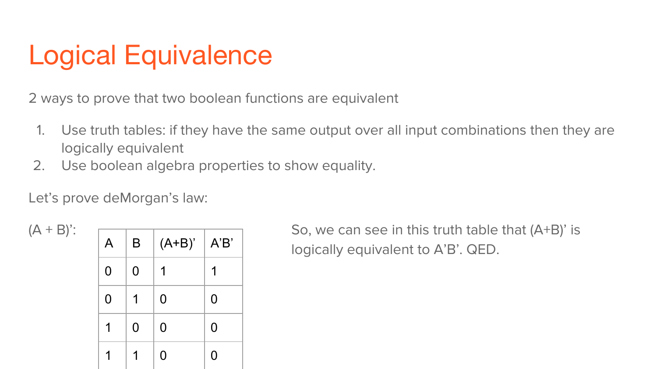# Logical Equivalence

2 ways to prove that two boolean functions are equivalent

- 1. Use truth tables: if they have the same output over all input combinations then they are logically equivalent
- 2. Use boolean algebra properties to show equality.

Let's prove deMorgan's law:

| A | B | $(A+B)'$ | A'B' |
|---|---|----------|------|
| 0 | 0 | 1        | 1    |
| 0 | 1 | 0        | 0    |
| 1 | 0 | 0        | 0    |
|   |   | O        | 0    |

 $(A + B)'$ :  $\Box$ logically equivalent to A'B'. QED.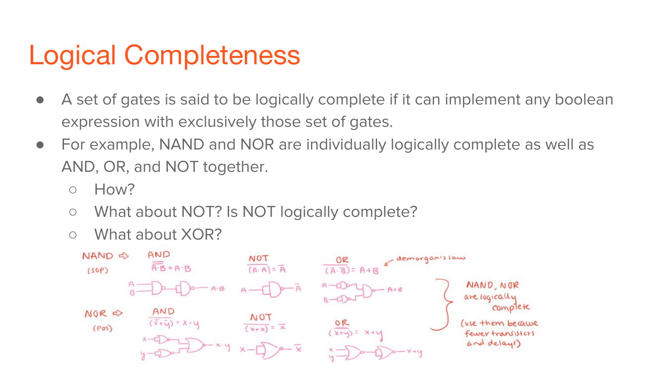### Logical Completeness

- A set of gates is said to be logically complete if it can implement any boolean expression with exclusively those set of gates.
- For example, NAND and NOR are individually logically complete as well as AND, OR, and NOT together.
	- How?
	- What about NOT? Is NOT logically complete?
	- What about XOR?

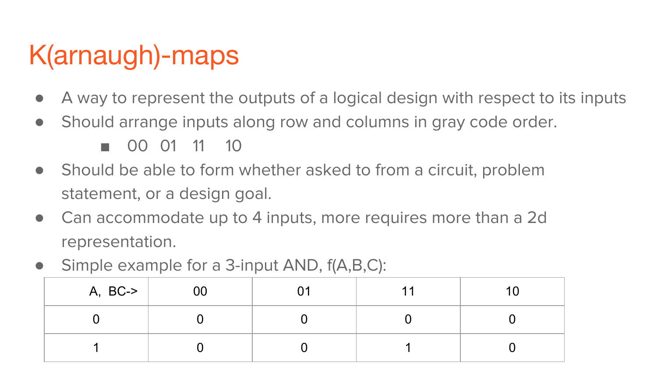# K(arnaugh)-maps

- A way to represent the outputs of a logical design with respect to its inputs
- Should arrange inputs along row and columns in gray code order.

■ 00 01 11 10

- Should be able to form whether asked to from a circuit, problem statement, or a design goal.
- Can accommodate up to 4 inputs, more requires more than a 2d representation.
- Simple example for a 3-input AND,  $f(A,B,C)$ :

| $A, BC \rightarrow$ | UU |  |  |
|---------------------|----|--|--|
|                     |    |  |  |
|                     |    |  |  |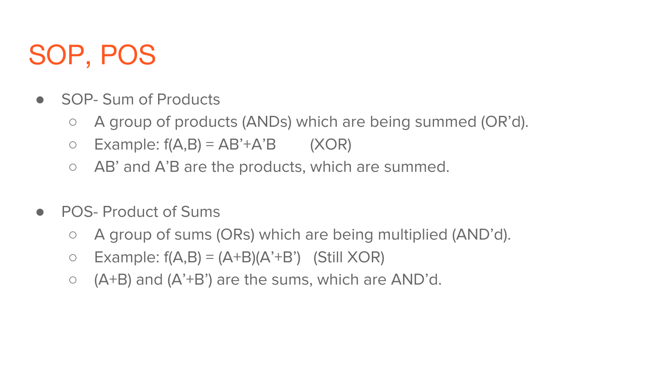### SOP, POS

- **SOP- Sum of Products** 
	- A group of products (ANDs) which are being summed (OR'd).
	- $\circ$  Example: f(A,B) = AB'+A'B (XOR)
	- AB' and A'B are the products, which are summed.
- POS- Product of Sums
	- A group of sums (ORs) which are being multiplied (AND'd).
	- $\circ$  Example:  $f(A,B) = (A+B)(A^2+B^2)$  (Still XOR)
	- $\circ$  (A+B) and (A'+B') are the sums, which are AND'd.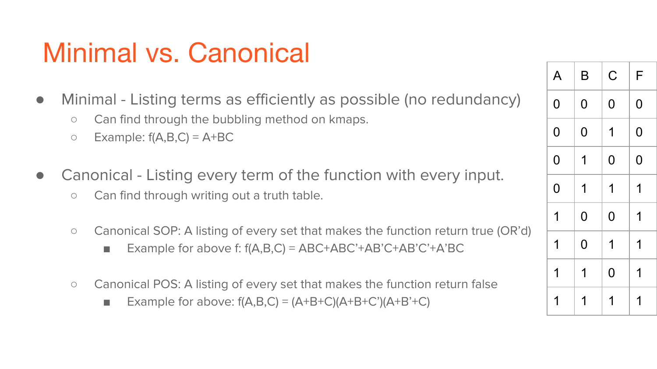### Minimal vs. Canonical

- Minimal Listing terms as efficiently as possible (no redundancy)
	- Can find through the bubbling method on kmaps.
	- $\circ$  Example:  $f(A,B,C) = A+BC$
- Canonical Listing every term of the function with every input.
	- Can find through writing out a truth table.
	- Canonical SOP: A listing of every set that makes the function return true (OR'd)
		- Example for above f:  $f(A,B,C) = ABC+ABC'+AB'C+AB'C'+A'BC$
	- Canonical POS: A listing of every set that makes the function return false
		- Example for above:  $f(A,B,C) = (A+B+C)(A+B+C')(A+B'+C)$

| A              | B              | $\mathsf C$    | F |
|----------------|----------------|----------------|---|
| 0              | 0              | 0              | 0 |
| $\overline{0}$ | 0              | 1              | 0 |
| $\overline{0}$ | 1              | 0              | 0 |
| $\overline{0}$ | 1              | 1              | 1 |
| 1              | $\overline{0}$ | $\overline{0}$ | 1 |
| 1              | $\overline{0}$ | 1              | 1 |
| 1              | 1              | 0              | 1 |
| 1              | 1              | 1              | 1 |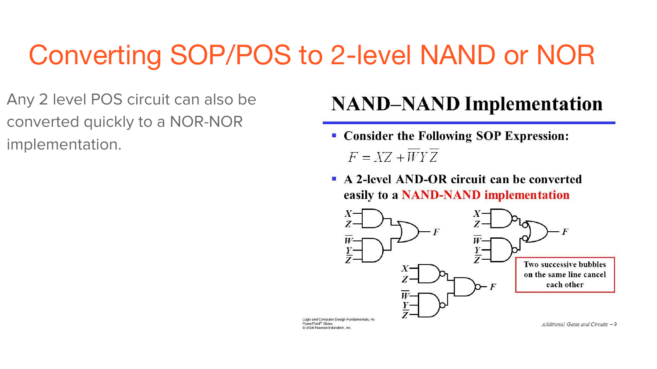### Converting SOP/POS to 2-level NAND or NOR

Any 2 level POS circuit can also be converted quickly to a NOR-NOR implementation.

#### **NAND-NAND Implementation**

- Consider the Following SOP Expression:  $F = XZ + WYZ$
- A 2-level AND-OR circuit can be converted easily to a NAND-NAND implementation

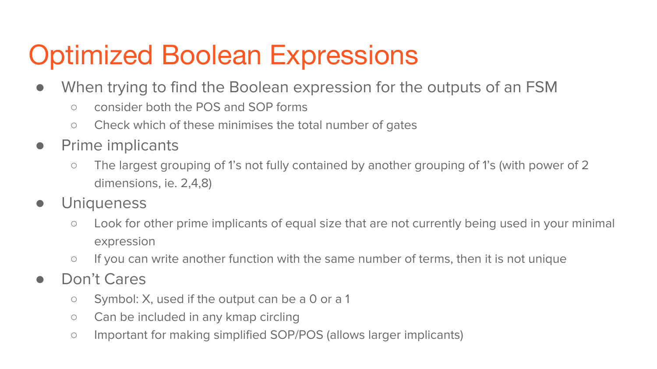# Optimized Boolean Expressions

- When trying to find the Boolean expression for the outputs of an FSM
	- consider both the POS and SOP forms
	- Check which of these minimises the total number of gates
- Prime implicants
	- The largest grouping of 1's not fully contained by another grouping of 1's (with power of 2 dimensions, ie. 2,4,8)
- Uniqueness
	- Look for other prime implicants of equal size that are not currently being used in your minimal expression
	- If you can write another function with the same number of terms, then it is not unique
- Don't Cares
	- Symbol: X, used if the output can be a 0 or a 1
	- Can be included in any kmap circling
	- Important for making simplified SOP/POS (allows larger implicants)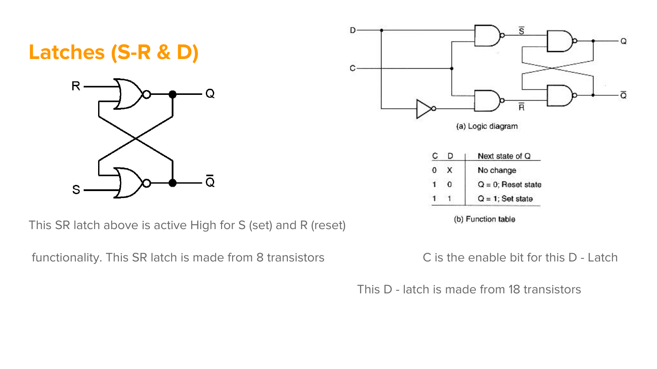#### **Latches (S-R & D)**



This SR latch above is active High for S (set) and R (reset)

functionality. This SR latch is made from 8 transistors C is the enable bit for this D - Latch



(b) Function table

This D - latch is made from 18 transistors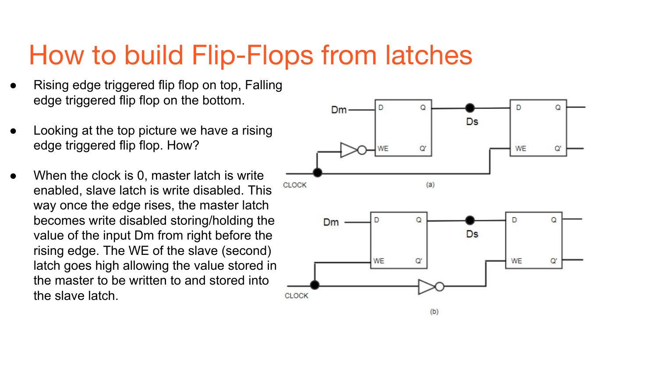### How to build Flip-Flops from latches

- Rising edge triggered flip flop on top, Falling edge triggered flip flop on the bottom.
- Looking at the top picture we have a rising edge triggered flip flop. How?
- When the clock is 0, master latch is write enabled, slave latch is write disabled. This way once the edge rises, the master latch becomes write disabled storing/holding the value of the input Dm from right before the rising edge. The WE of the slave (second) latch goes high allowing the value stored in the master to be written to and stored into the slave latch.

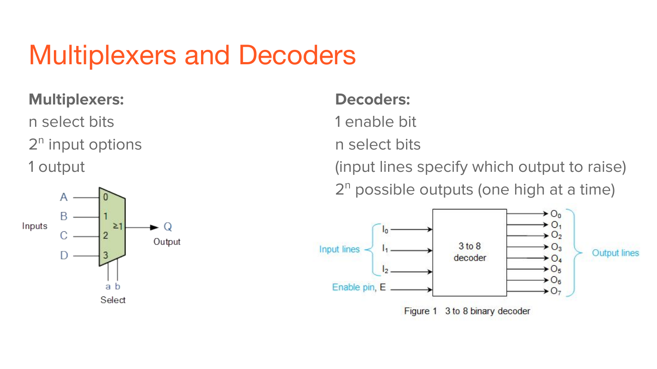### Multiplexers and Decoders

#### **Multiplexers:**

n select bits 2<sup>n</sup> input options 1 output



#### **Decoders:**

1 enable bit

n select bits

(input lines specify which output to raise) 2<sup>n</sup> possible outputs (one high at a time)

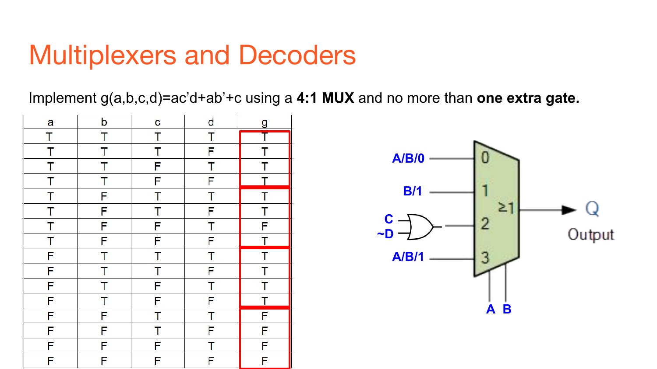### Multiplexers and Decoders

Implement g(a,b,c,d)=ac'd+ab'+c using a **4:1 MUX** and no more than **one extra gate.**

| a                                 | b                       | C                             | $\mathsf{d}$            | <u>g</u>                |
|-----------------------------------|-------------------------|-------------------------------|-------------------------|-------------------------|
| Ť                                 | T                       | T                             | T                       |                         |
|                                   |                         |                               |                         |                         |
|                                   | $\frac{1}{1}$           | $rac{\mathsf{T}}{\mathsf{F}}$ | $F$ $T$ $F$             |                         |
|                                   | $\overline{\mathsf{T}}$ | $\overline{F}$                |                         | T<br>T<br>I             |
| $\frac{1}{T}$ $\frac{1}{T}$       | F                       | T                             | T                       | $\overline{\mathsf{T}}$ |
| $rac{\overline{T}}{\overline{T}}$ | F                       | $\frac{1}{F}$                 | $F$<br>$T$<br>$F$       | $\frac{1}{F}$           |
|                                   | F                       |                               |                         |                         |
|                                   | F                       | F                             |                         |                         |
| $\mathsf F$                       |                         | $\mathbf T$                   | $\overline{\mathbf{I}}$ |                         |
| $\overline{\mathsf{F}}$           | $\frac{T}{T}$           | $\overline{\mathsf{T}}$       | $\overline{\mathsf{F}}$ |                         |
| F                                 | $\overline{\mathsf{T}}$ | $\overline{\mathsf{F}}$       |                         |                         |
| F                                 | T                       | F                             | $\frac{1}{F}$           |                         |
| F                                 | F                       |                               | $\frac{1}{F}$           |                         |
| F                                 | F                       | $\frac{1}{T}$                 |                         | <u>TTTTTTTFFFF</u>      |
| $\overline{\mathsf{F}}$           | F                       | F                             | $\overline{\mathsf{T}}$ | F                       |
| F                                 | F                       | F                             | F                       | F                       |

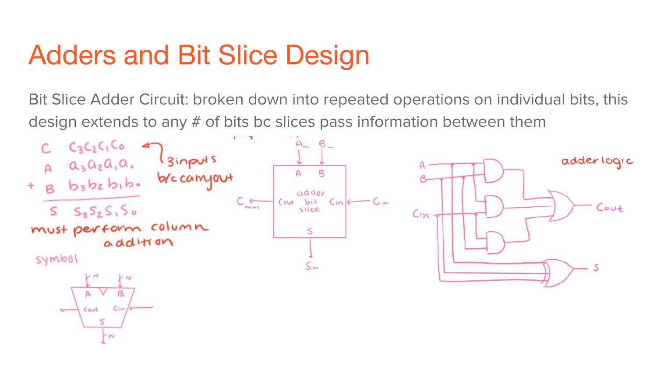### Adders and Bit Slice Design

Bit Slice Adder Circuit: broken down into repeated operations on individual bits, this design extends to any # of bits bc slices pass information between them

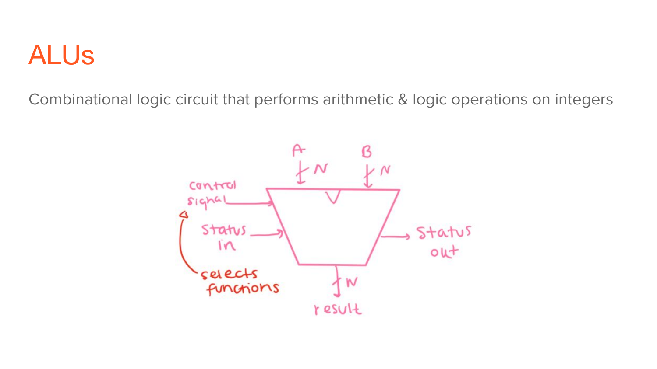### ALUs

Combinational logic circuit that performs arithmetic & logic operations on integers